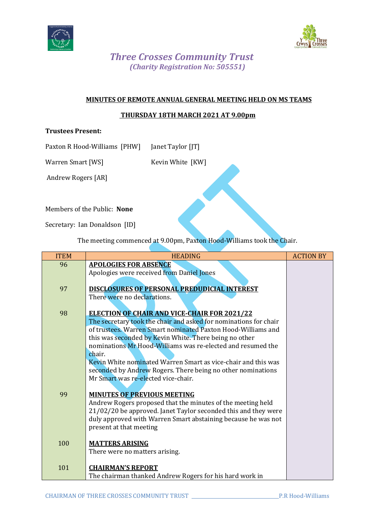



## *Three Crosses Community Trust (Charity Registration No: 505551)*

#### **MINUTES OF REMOTE ANNUAL GENERAL MEETING HELD ON MS TEAMS**

### **THURSDAY 18TH MARCH 2021 AT 9.00pm**

#### **Trustees Present:**

Paxton R Hood-Williams [PHW] Janet Taylor [JT]

Warren Smart [WS] Kevin White [KW]

Andrew Rogers [AR]

Members of the Public: **None**

Secretary: Ian Donaldson [ID]

The meeting commenced at 9.00pm, Paxton Hood-Williams took the Chair.

| <b>ITEM</b> | <b>HEADING</b>                                                                                                                                                                  | <b>ACTION BY</b> |
|-------------|---------------------------------------------------------------------------------------------------------------------------------------------------------------------------------|------------------|
| 96          | <b>APOLOGIES FOR ABSENCE</b>                                                                                                                                                    |                  |
|             | Apologies were received from Daniel Jones                                                                                                                                       |                  |
| 97          | <b>DISCLOSURES OF PERSONAL PREDUDICIAL INTEREST</b>                                                                                                                             |                  |
|             | There were no declarations.                                                                                                                                                     |                  |
|             |                                                                                                                                                                                 |                  |
| 98          | <b>ELECTION OF CHAIR AND VICE-CHAIR FOR 2021/22</b>                                                                                                                             |                  |
|             | The secretary took the chair and asked for nominations for chair<br>of trustees. Warren Smart nominated Paxton Hood-Williams and                                                |                  |
|             | this was seconded by Kevin White. There being no other                                                                                                                          |                  |
|             | nominations Mr Hood-Williams was re-elected and resumed the                                                                                                                     |                  |
|             | chair.                                                                                                                                                                          |                  |
|             | Kevin White nominated Warren Smart as vice-chair and this was                                                                                                                   |                  |
|             | seconded by Andrew Rogers. There being no other nominations<br>Mr Smart was re-elected vice-chair.                                                                              |                  |
|             |                                                                                                                                                                                 |                  |
| 99          | <b>MINUTES OF PREVIOUS MEETING</b>                                                                                                                                              |                  |
|             | Andrew Rogers proposed that the minutes of the meeting held                                                                                                                     |                  |
|             | 21/02/20 be approved. Janet Taylor seconded this and they were                                                                                                                  |                  |
|             |                                                                                                                                                                                 |                  |
|             |                                                                                                                                                                                 |                  |
| 100         | <b>MATTERS ARISING</b>                                                                                                                                                          |                  |
|             | There were no matters arising.                                                                                                                                                  |                  |
|             |                                                                                                                                                                                 |                  |
|             |                                                                                                                                                                                 |                  |
| 101         | duly approved with Warren Smart abstaining because he was not<br>present at that meeting<br><b>CHAIRMAN'S REPORT</b><br>The chairman thanked Andrew Rogers for his hard work in |                  |